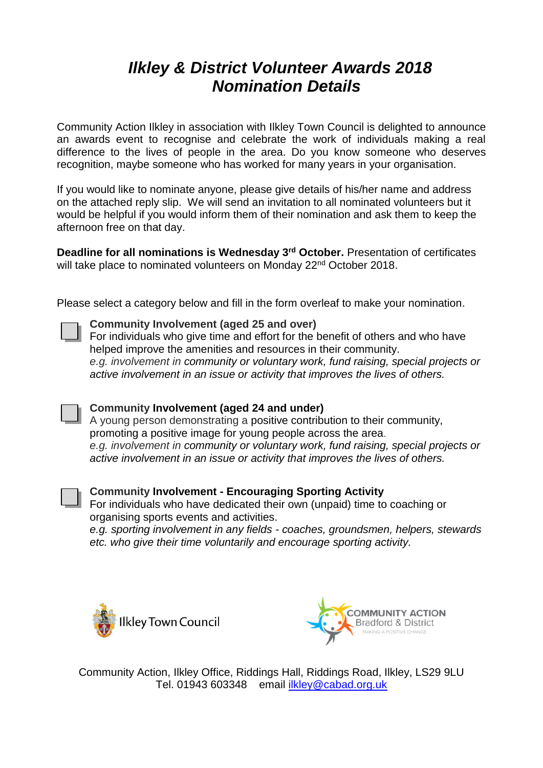## *Ilkley & District Volunteer Awards 2018 Nomination Details*

Community Action Ilkley in association with Ilkley Town Council is delighted to announce an awards event to recognise and celebrate the work of individuals making a real difference to the lives of people in the area. Do you know someone who deserves recognition, maybe someone who has worked for many years in your organisation.

If you would like to nominate anyone, please give details of his/her name and address on the attached reply slip. We will send an invitation to all nominated volunteers but it would be helpful if you would inform them of their nomination and ask them to keep the afternoon free on that day.

**Deadline for all nominations is Wednesday 3rd October.** Presentation of certificates will take place to nominated volunteers on Monday 22<sup>nd</sup> October 2018.

Please select a category below and fill in the form overleaf to make your nomination.

### **Community Involvement (aged 25 and over)**

For individuals who give time and effort for the benefit of others and who have helped improve the amenities and resources in their community. *e.g. involvement in community or voluntary work, fund raising, special projects or active involvement in an issue or activity that improves the lives of others.*

### **Community Involvement (aged 24 and under)**

A young person demonstrating a positive contribution to their community, promoting a positive image for young people across the area. *e.g. involvement in community or voluntary work, fund raising, special projects or active involvement in an issue or activity that improves the lives of others.*



### **Community Involvement - Encouraging Sporting Activity**

For individuals who have dedicated their own (unpaid) time to coaching or organising sports events and activities.

*e.g. sporting involvement in any fields - coaches, groundsmen, helpers, stewards etc. who give their time voluntarily and encourage sporting activity.*





Community Action, Ilkley Office, Riddings Hall, Riddings Road, Ilkley, LS29 9LU Tel. 01943 603348 email [ilkley@cabad.org.uk](mailto:ilkley@cabad.org.uk)